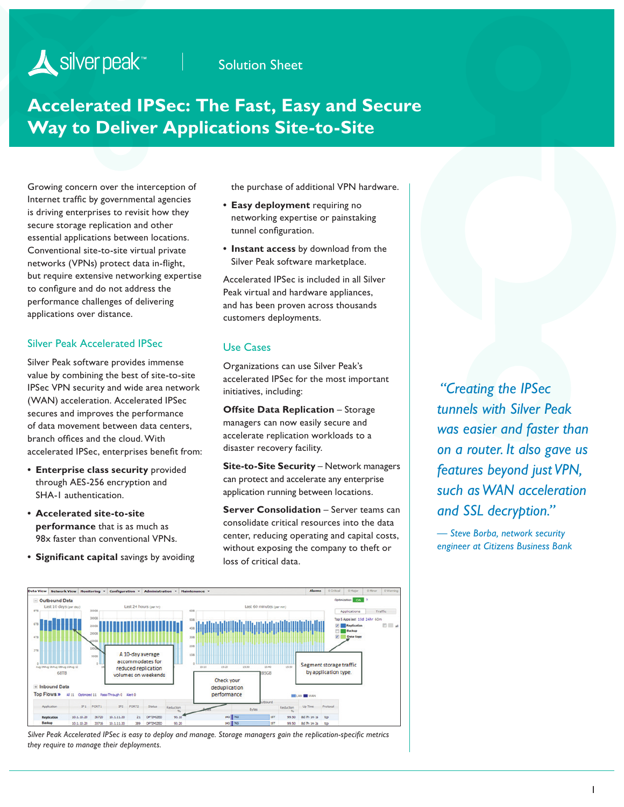## Solution Sheet

# **Accelerated IPSec: The Fast, Easy and Secure Way to Deliver Applications Site-to-Site**

Growing concern over the interception of Internet traffic by governmental agencies is driving enterprises to revisit how they secure storage replication and other essential applications between locations. Conventional site-to-site virtual private networks (VPNs) protect data in-flight, but require extensive networking expertise to configure and do not address the performance challenges of delivering applications over distance.

#### Silver Peak Accelerated IPSec

Silver Peak software provides immense value by combining the best of site-to-site IPSec VPN security and wide area network (WAN) acceleration. Accelerated IPSec secures and improves the performance of data movement between data centers, branch offices and the cloud. With accelerated IPSec, enterprises benefit from:

- **• Enterprise class security** provided through AES-256 encryption and SHA-1 authentication.
- **• Accelerated site-to-site performance** that is as much as 98x faster than conventional VPNs.
- **• Significant capital** savings by avoiding

the purchase of additional VPN hardware.

- **• Easy deployment** requiring no networking expertise or painstaking tunnel configuration.
- **• Instant access** by download from the Silver Peak software marketplace.

Accelerated IPSec is included in all Silver Peak virtual and hardware appliances, and has been proven across thousands customers deployments.

### Use Cases

Organizations can use Silver Peak's accelerated IPSec for the most important initiatives, including:

**Offsite Data Replication** – Storage managers can now easily secure and accelerate replication workloads to a disaster recovery facility.

**Site-to-Site Security** – Network managers can protect and accelerate any enterprise application running between locations.

**Server Consolidation** – Server teams can consolidate critical resources into the data center, reducing operating and capital costs, without exposing the company to theft or loss of critical data.

 *"Creating the IPSec tunnels with Silver Peak was easier and faster than on a router. It also gave us features beyond just VPN, such as WAN acceleration and SSL decryption."* 

*— Steve Borba, network security engineer at Citizens Business Bank*



*Silver Peak Accelerated IPSec is easy to deploy and manage. Storage managers gain the replication-specific metrics they require to manage their deployments.*